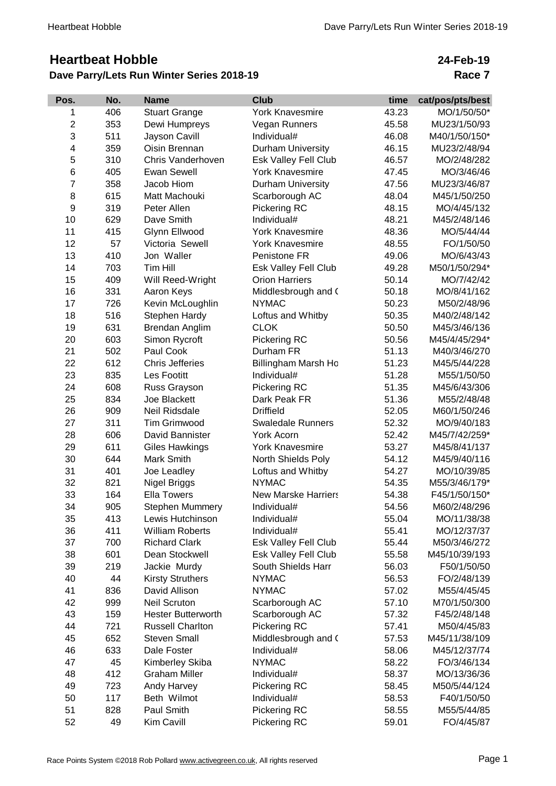# **Heartbeat Hobble**

## **Dave Parry/Lets Run Winter Series 2018-19**

## **24-Feb-19 Race 7**

| Pos.           | No. | <b>Name</b>               | <b>Club</b>                | time  | cat/pos/pts/best |
|----------------|-----|---------------------------|----------------------------|-------|------------------|
| 1              | 406 | <b>Stuart Grange</b>      | <b>York Knavesmire</b>     | 43.23 | MO/1/50/50*      |
| $\overline{c}$ | 353 | Dewi Humpreys             | Vegan Runners              | 45.58 | MU23/1/50/93     |
| 3              | 511 | Jayson Cavill             | Individual#                | 46.08 | M40/1/50/150*    |
| 4              | 359 | Oisin Brennan             | Durham University          | 46.15 | MU23/2/48/94     |
| 5              | 310 | Chris Vanderhoven         | Esk Valley Fell Club       | 46.57 | MO/2/48/282      |
| 6              | 405 | <b>Ewan Sewell</b>        | <b>York Knavesmire</b>     | 47.45 | MO/3/46/46       |
| $\overline{7}$ | 358 | Jacob Hiom                | Durham University          | 47.56 | MU23/3/46/87     |
| 8              | 615 | Matt Machouki             | Scarborough AC             | 48.04 | M45/1/50/250     |
| 9              | 319 | Peter Allen               | Pickering RC               | 48.15 | MO/4/45/132      |
| 10             | 629 | Dave Smith                | Individual#                | 48.21 | M45/2/48/146     |
| 11             | 415 | Glynn Ellwood             | <b>York Knavesmire</b>     | 48.36 | MO/5/44/44       |
| 12             | 57  | Victoria Sewell           | <b>York Knavesmire</b>     | 48.55 | FO/1/50/50       |
| 13             | 410 | Jon Waller                | Penistone FR               | 49.06 | MO/6/43/43       |
| 14             | 703 | Tim Hill                  | Esk Valley Fell Club       | 49.28 | M50/1/50/294*    |
| 15             | 409 | Will Reed-Wright          | <b>Orion Harriers</b>      | 50.14 | MO/7/42/42       |
| 16             | 331 | Aaron Keys                | Middlesbrough and (        | 50.18 | MO/8/41/162      |
| 17             | 726 | Kevin McLoughlin          | <b>NYMAC</b>               | 50.23 | M50/2/48/96      |
| 18             | 516 | Stephen Hardy             | Loftus and Whitby          | 50.35 | M40/2/48/142     |
| 19             | 631 | Brendan Anglim            | <b>CLOK</b>                | 50.50 | M45/3/46/136     |
| 20             | 603 | Simon Rycroft             | Pickering RC               | 50.56 | M45/4/45/294*    |
| 21             | 502 | Paul Cook                 | Durham FR                  | 51.13 | M40/3/46/270     |
| 22             | 612 | <b>Chris Jefferies</b>    | Billingham Marsh Ho        | 51.23 | M45/5/44/228     |
| 23             | 835 | Les Footitt               | Individual#                | 51.28 | M55/1/50/50      |
| 24             | 608 | Russ Grayson              | Pickering RC               | 51.35 | M45/6/43/306     |
| 25             | 834 | Joe Blackett              | Dark Peak FR               | 51.36 | M55/2/48/48      |
| 26             | 909 | Neil Ridsdale             | <b>Driffield</b>           | 52.05 | M60/1/50/246     |
| 27             | 311 | <b>Tim Grimwood</b>       | <b>Swaledale Runners</b>   | 52.32 | MO/9/40/183      |
| 28             | 606 | David Bannister           | York Acorn                 | 52.42 | M45/7/42/259*    |
| 29             | 611 | <b>Giles Hawkings</b>     | <b>York Knavesmire</b>     | 53.27 | M45/8/41/137     |
| 30             | 644 | Mark Smith                | North Shields Poly         | 54.12 | M45/9/40/116     |
| 31             | 401 | Joe Leadley               | Loftus and Whitby          | 54.27 | MO/10/39/85      |
| 32             | 821 | Nigel Briggs              | <b>NYMAC</b>               | 54.35 | M55/3/46/179*    |
| 33             | 164 | <b>Ella Towers</b>        | <b>New Marske Harriers</b> | 54.38 | F45/1/50/150*    |
| 34             | 905 | <b>Stephen Mummery</b>    | Individual#                | 54.56 | M60/2/48/296     |
| 35             | 413 | Lewis Hutchinson          | Individual#                | 55.04 | MO/11/38/38      |
| 36             | 411 | <b>William Roberts</b>    | Individual#                | 55.41 | MO/12/37/37      |
| 37             | 700 | <b>Richard Clark</b>      | Esk Valley Fell Club       | 55.44 | M50/3/46/272     |
| 38             | 601 | Dean Stockwell            | Esk Valley Fell Club       | 55.58 | M45/10/39/193    |
| 39             | 219 | Jackie Murdy              | South Shields Harr         | 56.03 | F50/1/50/50      |
| 40             | 44  | <b>Kirsty Struthers</b>   | <b>NYMAC</b>               | 56.53 | FO/2/48/139      |
| 41             | 836 | David Allison             | <b>NYMAC</b>               | 57.02 | M55/4/45/45      |
| 42             | 999 | <b>Neil Scruton</b>       | Scarborough AC             | 57.10 | M70/1/50/300     |
| 43             | 159 | <b>Hester Butterworth</b> | Scarborough AC             | 57.32 | F45/2/48/148     |
| 44             | 721 | <b>Russell Charlton</b>   | Pickering RC               | 57.41 | M50/4/45/83      |
| 45             | 652 | <b>Steven Small</b>       | Middlesbrough and (        | 57.53 | M45/11/38/109    |
| 46             | 633 | Dale Foster               | Individual#                | 58.06 | M45/12/37/74     |
| 47             | 45  | Kimberley Skiba           | <b>NYMAC</b>               | 58.22 | FO/3/46/134      |
| 48             | 412 | <b>Graham Miller</b>      | Individual#                | 58.37 | MO/13/36/36      |
| 49             | 723 | Andy Harvey               | Pickering RC               | 58.45 | M50/5/44/124     |
| 50             | 117 | Beth Wilmot               | Individual#                | 58.53 | F40/1/50/50      |
| 51             | 828 | Paul Smith                | Pickering RC               | 58.55 | M55/5/44/85      |
| 52             | 49  | Kim Cavill                | Pickering RC               | 59.01 | FO/4/45/87       |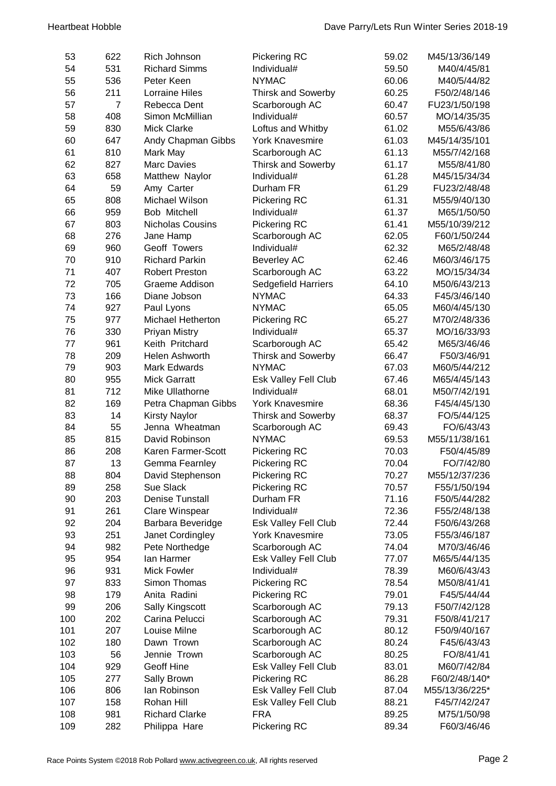| 53  | 622            | Rich Johnson           | <b>Pickering RC</b>        | 59.02 | M45/13/36/149  |
|-----|----------------|------------------------|----------------------------|-------|----------------|
| 54  | 531            | <b>Richard Simms</b>   | Individual#                | 59.50 | M40/4/45/81    |
| 55  | 536            | Peter Keen             | <b>NYMAC</b>               | 60.06 | M40/5/44/82    |
| 56  | 211            | Lorraine Hiles         | <b>Thirsk and Sowerby</b>  | 60.25 | F50/2/48/146   |
| 57  | $\overline{7}$ | Rebecca Dent           | Scarborough AC             | 60.47 | FU23/1/50/198  |
| 58  | 408            | Simon McMillian        | Individual#                | 60.57 | MO/14/35/35    |
| 59  | 830            | <b>Mick Clarke</b>     | Loftus and Whitby          | 61.02 | M55/6/43/86    |
| 60  | 647            | Andy Chapman Gibbs     | <b>York Knavesmire</b>     | 61.03 | M45/14/35/101  |
| 61  | 810            | Mark May               | Scarborough AC             | 61.13 | M55/7/42/168   |
| 62  | 827            | <b>Marc Davies</b>     | <b>Thirsk and Sowerby</b>  | 61.17 | M55/8/41/80    |
| 63  | 658            | Matthew Naylor         | Individual#                | 61.28 | M45/15/34/34   |
| 64  | 59             | Amy Carter             | Durham FR                  | 61.29 | FU23/2/48/48   |
| 65  | 808            | Michael Wilson         | <b>Pickering RC</b>        | 61.31 | M55/9/40/130   |
| 66  | 959            | Bob Mitchell           | Individual#                | 61.37 | M65/1/50/50    |
| 67  | 803            | Nicholas Cousins       | Pickering RC               | 61.41 | M55/10/39/212  |
| 68  | 276            | Jane Hamp              | Scarborough AC             | 62.05 | F60/1/50/244   |
| 69  | 960            | Geoff Towers           | Individual#                | 62.32 | M65/2/48/48    |
| 70  | 910            | <b>Richard Parkin</b>  | <b>Beverley AC</b>         | 62.46 | M60/3/46/175   |
| 71  | 407            | <b>Robert Preston</b>  | Scarborough AC             | 63.22 | MO/15/34/34    |
| 72  | 705            | Graeme Addison         | <b>Sedgefield Harriers</b> | 64.10 | M50/6/43/213   |
| 73  | 166            | Diane Jobson           | <b>NYMAC</b>               | 64.33 | F45/3/46/140   |
| 74  | 927            | Paul Lyons             | <b>NYMAC</b>               | 65.05 | M60/4/45/130   |
| 75  | 977            | Michael Hetherton      | Pickering RC               | 65.27 | M70/2/48/336   |
| 76  | 330            | <b>Priyan Mistry</b>   | Individual#                | 65.37 | MO/16/33/93    |
| 77  | 961            | Keith Pritchard        | Scarborough AC             | 65.42 | M65/3/46/46    |
| 78  | 209            | Helen Ashworth         | <b>Thirsk and Sowerby</b>  | 66.47 | F50/3/46/91    |
| 79  | 903            | <b>Mark Edwards</b>    | <b>NYMAC</b>               | 67.03 | M60/5/44/212   |
| 80  | 955            | <b>Mick Garratt</b>    | Esk Valley Fell Club       | 67.46 | M65/4/45/143   |
| 81  | 712            | Mike Ullathorne        | Individual#                | 68.01 | M50/7/42/191   |
| 82  | 169            | Petra Chapman Gibbs    | <b>York Knavesmire</b>     | 68.36 | F45/4/45/130   |
| 83  | 14             | <b>Kirsty Naylor</b>   | Thirsk and Sowerby         | 68.37 | FO/5/44/125    |
| 84  | 55             | Jenna Wheatman         | Scarborough AC             | 69.43 | FO/6/43/43     |
| 85  | 815            | David Robinson         | <b>NYMAC</b>               | 69.53 | M55/11/38/161  |
| 86  | 208            | Karen Farmer-Scott     | <b>Pickering RC</b>        | 70.03 | F50/4/45/89    |
| 87  | 13             | Gemma Fearnley         | <b>Pickering RC</b>        | 70.04 | FO/7/42/80     |
| 88  | 804            | David Stephenson       | Pickering RC               | 70.27 | M55/12/37/236  |
| 89  | 258            | Sue Slack              | Pickering RC               | 70.57 | F55/1/50/194   |
| 90  | 203            | <b>Denise Tunstall</b> | Durham FR                  | 71.16 | F50/5/44/282   |
| 91  | 261            | Clare Winspear         | Individual#                | 72.36 | F55/2/48/138   |
| 92  | 204            | Barbara Beveridge      | Esk Valley Fell Club       | 72.44 | F50/6/43/268   |
| 93  | 251            | Janet Cordingley       | <b>York Knavesmire</b>     | 73.05 | F55/3/46/187   |
| 94  | 982            | Pete Northedge         | Scarborough AC             | 74.04 | M70/3/46/46    |
| 95  | 954            | lan Harmer             | Esk Valley Fell Club       | 77.07 | M65/5/44/135   |
| 96  | 931            | <b>Mick Fowler</b>     | Individual#                | 78.39 | M60/6/43/43    |
| 97  | 833            | Simon Thomas           | Pickering RC               | 78.54 | M50/8/41/41    |
| 98  | 179            | Anita Radini           | <b>Pickering RC</b>        | 79.01 | F45/5/44/44    |
| 99  | 206            | <b>Sally Kingscott</b> | Scarborough AC             | 79.13 | F50/7/42/128   |
| 100 | 202            | Carina Pelucci         | Scarborough AC             | 79.31 | F50/8/41/217   |
| 101 | 207            | Louise Milne           | Scarborough AC             | 80.12 | F50/9/40/167   |
| 102 | 180            | Dawn Trown             | Scarborough AC             | 80.24 | F45/6/43/43    |
| 103 | 56             | Jennie Trown           | Scarborough AC             | 80.25 | FO/8/41/41     |
| 104 | 929            | Geoff Hine             | Esk Valley Fell Club       | 83.01 | M60/7/42/84    |
| 105 | 277            | Sally Brown            | Pickering RC               | 86.28 | F60/2/48/140*  |
| 106 | 806            | lan Robinson           | Esk Valley Fell Club       | 87.04 | M55/13/36/225* |
| 107 | 158            | Rohan Hill             | Esk Valley Fell Club       | 88.21 | F45/7/42/247   |
| 108 | 981            | <b>Richard Clarke</b>  | <b>FRA</b>                 | 89.25 | M75/1/50/98    |
| 109 | 282            | Philippa Hare          | Pickering RC               | 89.34 | F60/3/46/46    |